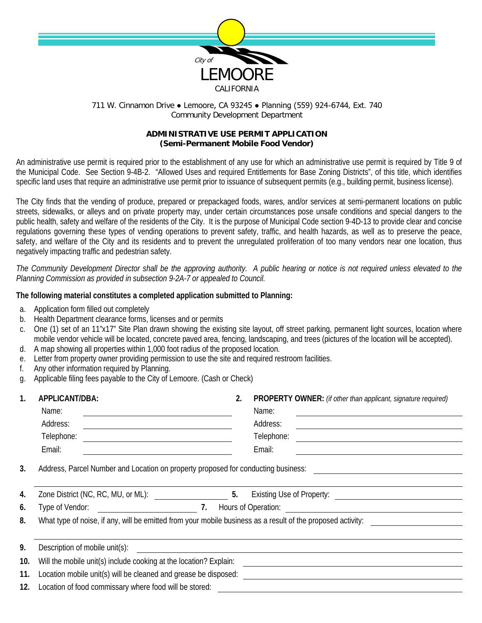

## 711 W. Cinnamon Drive ● Lemoore, CA 93245 ● Planning (559) 924-6744, Ext. 740 Community Development Department

## **ADMINISTRATIVE USE PERMIT APPLICATION (Semi-Permanent Mobile Food Vendor)**

An administrative use permit is required prior to the establishment of any use for which an administrative use permit is required by Title 9 of the Municipal Code. See Section 9-4B-2. "Allowed Uses and required Entitlements for Base Zoning Districts", of this title, which identifies specific land uses that require an administrative use permit prior to issuance of subsequent permits (e.g., building permit, business license).

The City finds that the vending of produce, prepared or prepackaged foods, wares, and/or services at semi-permanent locations on public streets, sidewalks, or alleys and on private property may, under certain circumstances pose unsafe conditions and special dangers to the public health, safety and welfare of the residents of the City. It is the purpose of Municipal Code section 9-4D-13 to provide clear and concise regulations governing these types of vending operations to prevent safety, traffic, and health hazards, as well as to preserve the peace, safety, and welfare of the City and its residents and to prevent the unregulated proliferation of too many vendors near one location, thus negatively impacting traffic and pedestrian safety.

*The Community Development Director shall be the approving authority. A public hearing or notice is not required unless elevated to the Planning Commission as provided in subsection 9-2A-7 or appealed to Council.*

## **The following material constitutes a completed application submitted to Planning:**

- a. Application form filled out completely
- b. Health Department clearance forms, licenses and or permits
- c. One (1) set of an 11"x17" Site Plan drawn showing the existing site layout, off street parking, permanent light sources, location where mobile vendor vehicle will be located, concrete paved area, fencing, landscaping, and trees (pictures of the location will be accepted). d. A map showing all properties within 1,000 foot radius of the proposed location.
- e. Letter from property owner providing permission to use the site and required restroom facilities.
- f. Any other information required by Planning.
- g. Applicable filing fees payable to the City of Lemoore. (Cash or Check)

| 1.  | APPLICANT/DBA:                                                                                              | 2. | PROPERTY OWNER: (if other than applicant, signature required) |  |  |
|-----|-------------------------------------------------------------------------------------------------------------|----|---------------------------------------------------------------|--|--|
|     | Name:                                                                                                       |    | Name:                                                         |  |  |
|     | Address:                                                                                                    |    | Address:                                                      |  |  |
|     | Telephone:<br><u> 1980 - Andrea Andrew Maria (h. 1980).</u>                                                 |    | Telephone:<br><u> 1989 - Andrea Andrew Maria (h. 1989).</u>   |  |  |
|     | Email:                                                                                                      |    | Email:                                                        |  |  |
| 3.  | Address, Parcel Number and Location on property proposed for conducting business:                           |    |                                                               |  |  |
| 4.  | 5.<br>Zone District (NC, RC, MU, or ML):<br>Existing Use of Property: <u>___________________</u>            |    |                                                               |  |  |
| 6.  | Type of Vendor: 7.                                                                                          |    |                                                               |  |  |
| 8.  | What type of noise, if any, will be emitted from your mobile business as a result of the proposed activity: |    |                                                               |  |  |
|     |                                                                                                             |    |                                                               |  |  |
| 9.  | Description of mobile unit(s):                                                                              |    |                                                               |  |  |
| 10. | Will the mobile unit(s) include cooking at the location? Explain:                                           |    |                                                               |  |  |
| 11. | Location mobile unit(s) will be cleaned and grease be disposed:                                             |    |                                                               |  |  |
| 12. | Location of food commissary where food will be stored:                                                      |    |                                                               |  |  |
|     |                                                                                                             |    |                                                               |  |  |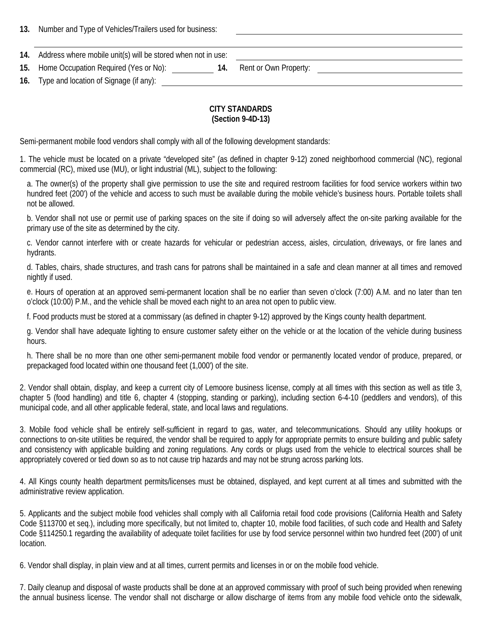**13.** Number and Type of Vehicles/Trailers used for business:

| 14. | Address where mobile unit(s) will be stored when not in use: |  |
|-----|--------------------------------------------------------------|--|
|     |                                                              |  |

|  |  | 15. Home Occupation Required (Yes or No): |  | Rent or Own Property: |  |
|--|--|-------------------------------------------|--|-----------------------|--|
|--|--|-------------------------------------------|--|-----------------------|--|

**16.** Type and location of Signage (if any):

## **CITY STANDARDS (Section 9-4D-13)**

Semi-permanent mobile food vendors shall comply with all of the following development standards:

1. The vehicle must be located on a private "developed site" (as defined in chapter 9-12) zoned neighborhood commercial (NC), regional commercial (RC), mixed use (MU), or light industrial (ML), subject to the following:

a. The owner(s) of the property shall give permission to use the site and required restroom facilities for food service workers within two hundred feet (200') of the vehicle and access to such must be available during the mobile vehicle's business hours. Portable toilets shall not be allowed.

b. Vendor shall not use or permit use of parking spaces on the site if doing so will adversely affect the on-site parking available for the primary use of the site as determined by the city.

c. Vendor cannot interfere with or create hazards for vehicular or pedestrian access, aisles, circulation, driveways, or fire lanes and hydrants.

d. Tables, chairs, shade structures, and trash cans for patrons shall be maintained in a safe and clean manner at all times and removed nightly if used.

e. Hours of operation at an approved semi-permanent location shall be no earlier than seven o'clock (7:00) A.M. and no later than ten o'clock (10:00) P.M., and the vehicle shall be moved each night to an area not open to public view.

f. Food products must be stored at a commissary (as defined in chapter 9-12) approved by the Kings county health department.

g. Vendor shall have adequate lighting to ensure customer safety either on the vehicle or at the location of the vehicle during business hours.

h. There shall be no more than one other semi-permanent mobile food vendor or permanently located vendor of produce, prepared, or prepackaged food located within one thousand feet (1,000') of the site.

2. Vendor shall obtain, display, and keep a current city of Lemoore business license, comply at all times with this section as well as title 3, chapter 5 (food handling) and title 6, chapter 4 (stopping, standing or parking), including section 6-4-10 (peddlers and vendors), of this municipal code, and all other applicable federal, state, and local laws and regulations.

3. Mobile food vehicle shall be entirely self-sufficient in regard to gas, water, and telecommunications. Should any utility hookups or connections to on-site utilities be required, the vendor shall be required to apply for appropriate permits to ensure building and public safety and consistency with applicable building and zoning regulations. Any cords or plugs used from the vehicle to electrical sources shall be appropriately covered or tied down so as to not cause trip hazards and may not be strung across parking lots.

4. All Kings county health department permits/licenses must be obtained, displayed, and kept current at all times and submitted with the administrative review application.

5. Applicants and the subject mobile food vehicles shall comply with all California retail food code provisions (California Health and Safety Code §113700 et seq.), including more specifically, but not limited to, chapter 10, mobile food facilities, of such code and Health and Safety Code §114250.1 regarding the availability of adequate toilet facilities for use by food service personnel within two hundred feet (200') of unit location.

6. Vendor shall display, in plain view and at all times, current permits and licenses in or on the mobile food vehicle.

7. Daily cleanup and disposal of waste products shall be done at an approved commissary with proof of such being provided when renewing the annual business license. The vendor shall not discharge or allow discharge of items from any mobile food vehicle onto the sidewalk,